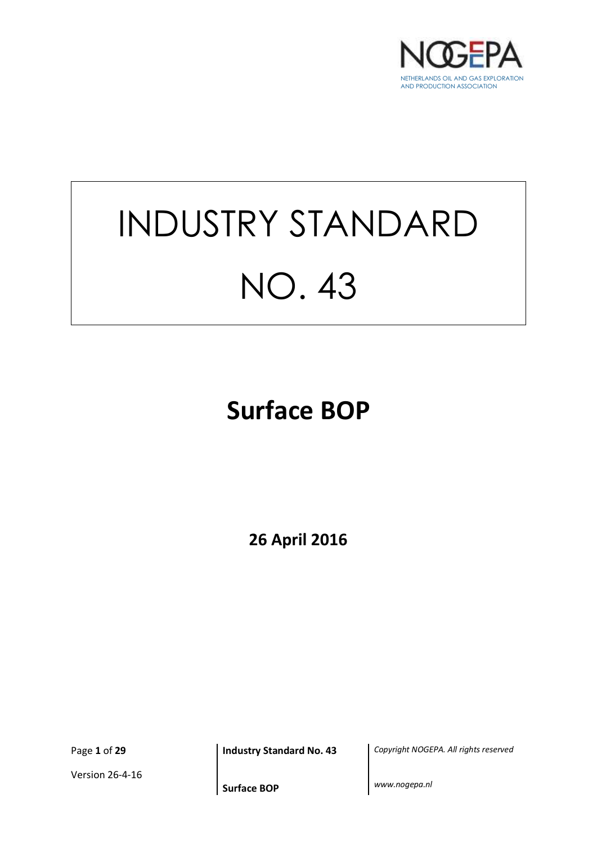

# INDUSTRY STANDARD NO. 43

## **Surface BOP**

**26 April 2016**

Version 26-4-16

Page **1** of **29 Industry Standard No. 43** *Copyright NOGEPA. All rights reserved*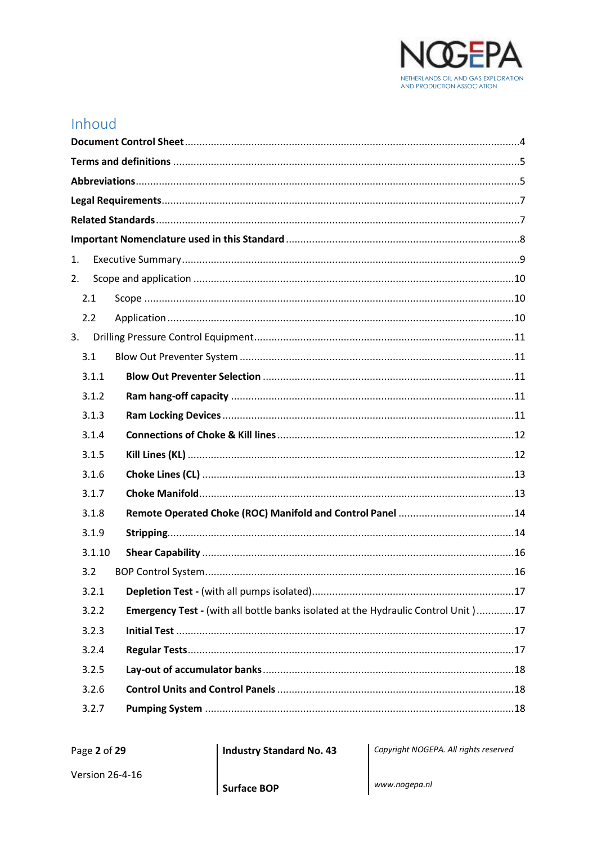

## Inhoud

| 1.    |        |                                                                                   |  |
|-------|--------|-----------------------------------------------------------------------------------|--|
| 2.    |        |                                                                                   |  |
| 2.1   |        |                                                                                   |  |
| 2.2   |        |                                                                                   |  |
| 3.    |        |                                                                                   |  |
| 3.1   |        |                                                                                   |  |
| 3.1.1 |        |                                                                                   |  |
| 3.1.2 |        |                                                                                   |  |
| 3.1.3 |        |                                                                                   |  |
| 3.1.4 |        |                                                                                   |  |
| 3.1.5 |        |                                                                                   |  |
| 3.1.6 |        |                                                                                   |  |
| 3.1.7 |        |                                                                                   |  |
| 3.1.8 |        |                                                                                   |  |
| 3.1.9 |        |                                                                                   |  |
|       | 3.1.10 |                                                                                   |  |
| 3.2   |        |                                                                                   |  |
| 3.2.1 |        |                                                                                   |  |
| 3.2.2 |        | Emergency Test - (with all bottle banks isolated at the Hydraulic Control Unit)17 |  |
| 3.2.3 |        |                                                                                   |  |
| 3.2.4 |        |                                                                                   |  |
| 3.2.5 |        |                                                                                   |  |
| 3.2.6 |        |                                                                                   |  |
| 3.2.7 |        |                                                                                   |  |

Page 2 of 29

**Industry Standard No. 43** 

Copyright NOGEPA. All rights reserved

**Version 26-4-16** 

www.nogepa.nl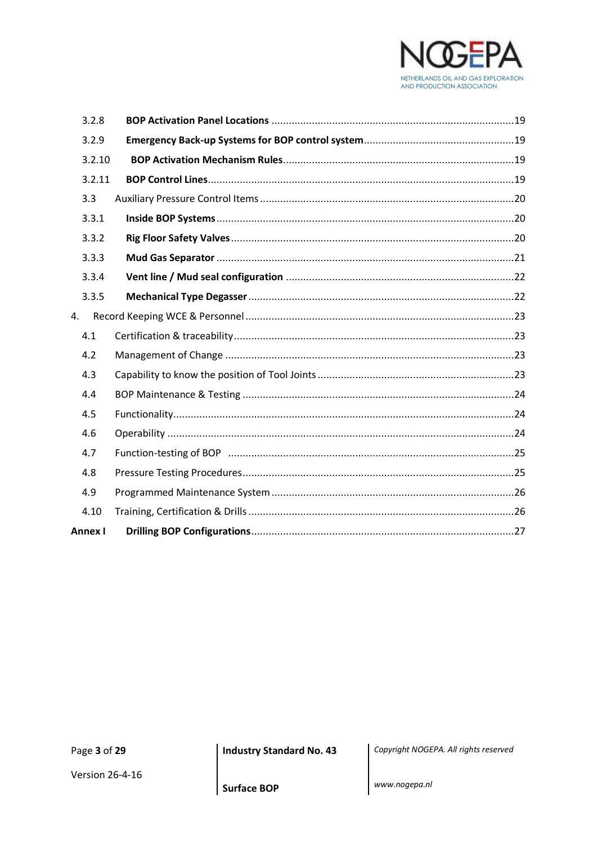

| 3.2.8          |  |
|----------------|--|
| 3.2.9          |  |
| 3.2.10         |  |
| 3.2.11         |  |
| 3.3            |  |
| 3.3.1          |  |
| 3.3.2          |  |
| 3.3.3          |  |
| 3.3.4          |  |
| 3.3.5          |  |
| 4.             |  |
| 4.1            |  |
| 4.2            |  |
| 4.3            |  |
| 4.4            |  |
| 4.5            |  |
| 4.6            |  |
| 4.7            |  |
| 4.8            |  |
| 4.9            |  |
| 4.10           |  |
| <b>Annex I</b> |  |

**Industry Standard No. 43** 

www.nogepa.nl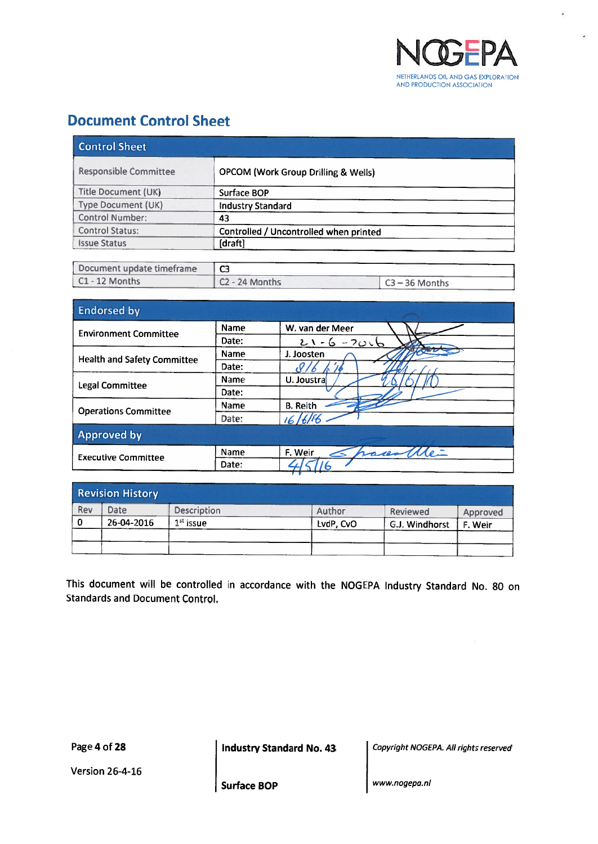

## **Document Control Sheet**

| <b>Control Sheet</b>         |                                                |  |
|------------------------------|------------------------------------------------|--|
| <b>Responsible Committee</b> | <b>OPCOM (Work Group Drilling &amp; Wells)</b> |  |
| <b>Title Document (UK)</b>   | Surface BOP                                    |  |
| <b>Type Document (UK)</b>    | <b>Industry Standard</b>                       |  |
| <b>Control Number:</b>       | 43                                             |  |
| <b>Control Status:</b>       | Controlled / Uncontrolled when printed         |  |
| <b>Issue Status</b>          | [draft]                                        |  |

| Document update timeframe |                  |                  |
|---------------------------|------------------|------------------|
| C1 - 12 Months            | $C2 - 24$ Months | $C3 - 36$ Months |

| Name  | W. van der Meer                              |
|-------|----------------------------------------------|
| Date: | $21 - 6 - 7016$                              |
| Name  | $\mathcal{L}$ of $\mathcal{L}$<br>J. Joosten |
| Date: |                                              |
| Name  | U. Joustral                                  |
| Date: |                                              |
| Name  | <b>B.</b> Reith                              |
| Date: | 16/6/16                                      |
|       |                                              |
| Name  | Space Mei<br>F. Weir                         |
| Date: |                                              |
|       |                                              |

| <b>Revision History</b> |            |                    |           |                |          |
|-------------------------|------------|--------------------|-----------|----------------|----------|
| Rev                     | Date       | <b>Description</b> | Author    | Reviewed       | Approved |
| 0                       | 26-04-2016 | $1st$ issue        | LvdP, CvO | G.J. Windhorst | F. Weir  |
|                         |            |                    |           |                |          |
|                         |            |                    |           |                |          |

This document will be controlled in accordance with the NOGEPA Industry Standard No. 80 on **Standards and Document Control.** 

**Industry Standard No. 43** 

Copyright NOGEPA. All rights reserved

www.nogepa.nl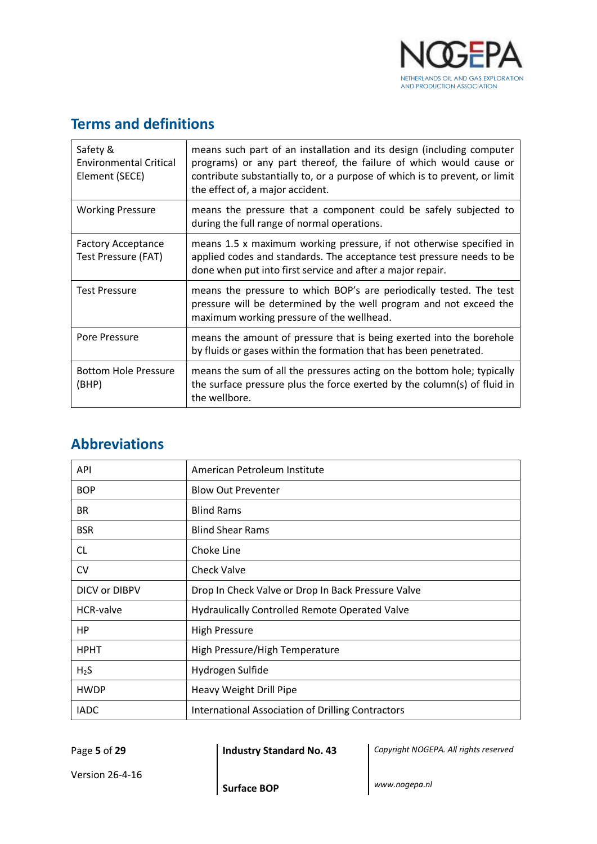

## <span id="page-4-0"></span>**Terms and definitions**

| Safety &<br><b>Environmental Critical</b><br>Element (SECE) | means such part of an installation and its design (including computer<br>programs) or any part thereof, the failure of which would cause or<br>contribute substantially to, or a purpose of which is to prevent, or limit<br>the effect of, a major accident. |
|-------------------------------------------------------------|---------------------------------------------------------------------------------------------------------------------------------------------------------------------------------------------------------------------------------------------------------------|
| <b>Working Pressure</b>                                     | means the pressure that a component could be safely subjected to<br>during the full range of normal operations.                                                                                                                                               |
| <b>Factory Acceptance</b><br>Test Pressure (FAT)            | means 1.5 x maximum working pressure, if not otherwise specified in<br>applied codes and standards. The acceptance test pressure needs to be<br>done when put into first service and after a major repair.                                                    |
| <b>Test Pressure</b>                                        | means the pressure to which BOP's are periodically tested. The test<br>pressure will be determined by the well program and not exceed the<br>maximum working pressure of the wellhead.                                                                        |
| Pore Pressure                                               | means the amount of pressure that is being exerted into the borehole<br>by fluids or gases within the formation that has been penetrated.                                                                                                                     |
| <b>Bottom Hole Pressure</b><br>(BHP)                        | means the sum of all the pressures acting on the bottom hole; typically<br>the surface pressure plus the force exerted by the column(s) of fluid in<br>the wellbore.                                                                                          |

## <span id="page-4-1"></span>**Abbreviations**

| <b>API</b>       | American Petroleum Institute                          |
|------------------|-------------------------------------------------------|
| <b>BOP</b>       | <b>Blow Out Preventer</b>                             |
| <b>BR</b>        | <b>Blind Rams</b>                                     |
| <b>BSR</b>       | <b>Blind Shear Rams</b>                               |
| CL.              | Choke Line                                            |
| <b>CV</b>        | <b>Check Valve</b>                                    |
| DICV or DIBPV    | Drop In Check Valve or Drop In Back Pressure Valve    |
| <b>HCR-valve</b> | <b>Hydraulically Controlled Remote Operated Valve</b> |
| HP               | <b>High Pressure</b>                                  |
| <b>HPHT</b>      | High Pressure/High Temperature                        |
| H <sub>2</sub> S | Hydrogen Sulfide                                      |
| <b>HWDP</b>      | Heavy Weight Drill Pipe                               |
| <b>IADC</b>      | International Association of Drilling Contractors     |

Page **5** of **29 Industry Standard No. 43** *Copyright NOGEPA. All rights reserved*

Version 26-4-16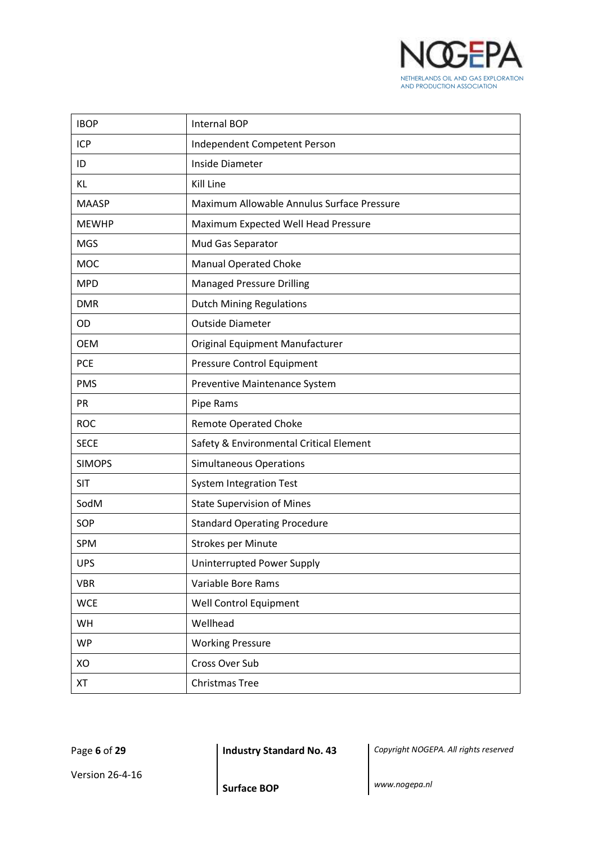

| <b>IBOP</b>   | <b>Internal BOP</b>                        |
|---------------|--------------------------------------------|
| <b>ICP</b>    | Independent Competent Person               |
| ID            | <b>Inside Diameter</b>                     |
| KL            | Kill Line                                  |
| <b>MAASP</b>  | Maximum Allowable Annulus Surface Pressure |
| <b>MEWHP</b>  | Maximum Expected Well Head Pressure        |
| <b>MGS</b>    | Mud Gas Separator                          |
| <b>MOC</b>    | <b>Manual Operated Choke</b>               |
| <b>MPD</b>    | <b>Managed Pressure Drilling</b>           |
| <b>DMR</b>    | <b>Dutch Mining Regulations</b>            |
| OD            | <b>Outside Diameter</b>                    |
| <b>OEM</b>    | Original Equipment Manufacturer            |
| <b>PCE</b>    | <b>Pressure Control Equipment</b>          |
| <b>PMS</b>    | Preventive Maintenance System              |
| <b>PR</b>     | Pipe Rams                                  |
| <b>ROC</b>    | <b>Remote Operated Choke</b>               |
| <b>SECE</b>   | Safety & Environmental Critical Element    |
| <b>SIMOPS</b> | <b>Simultaneous Operations</b>             |
| <b>SIT</b>    | <b>System Integration Test</b>             |
| SodM          | <b>State Supervision of Mines</b>          |
| SOP           | <b>Standard Operating Procedure</b>        |
| <b>SPM</b>    | <b>Strokes per Minute</b>                  |
| <b>UPS</b>    | Uninterrupted Power Supply                 |
| <b>VBR</b>    | Variable Bore Rams                         |
| <b>WCE</b>    | Well Control Equipment                     |
| <b>WH</b>     | Wellhead                                   |
| <b>WP</b>     | <b>Working Pressure</b>                    |
| XO            | Cross Over Sub                             |
| XT            | <b>Christmas Tree</b>                      |

Page **6** of **29 Industry Standard No. 43** *Copyright NOGEPA. All rights reserved*

Version 26-4-16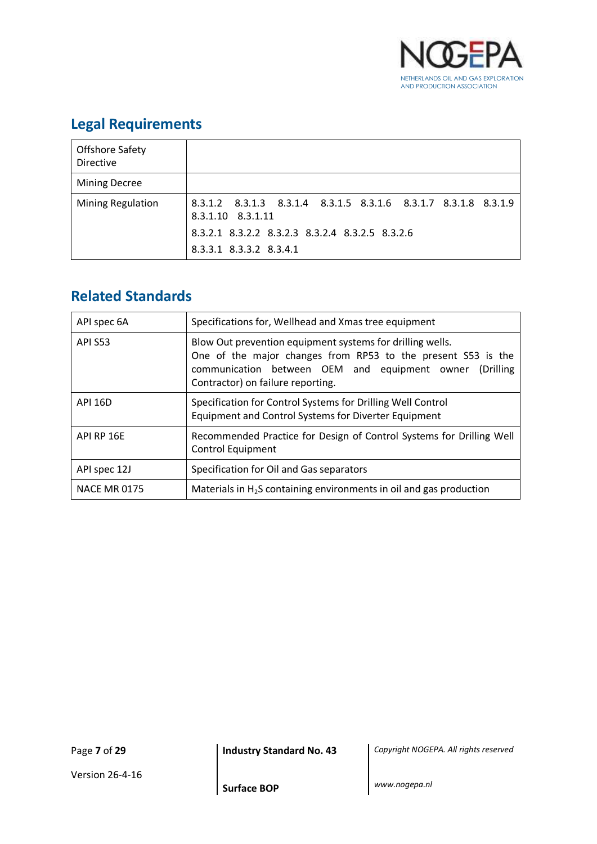

## <span id="page-6-0"></span>**Legal Requirements**

| <b>Offshore Safety</b><br>Directive |                                                                                      |
|-------------------------------------|--------------------------------------------------------------------------------------|
| <b>Mining Decree</b>                |                                                                                      |
| <b>Mining Regulation</b>            | 8.3.1.2 8.3.1.3 8.3.1.4 8.3.1.5 8.3.1.6 8.3.1.7 8.3.1.8 8.3.1.9<br>8.3.1.10 8.3.1.11 |
|                                     | 8.3.2.1 8.3.2.2 8.3.2.3 8.3.2.4 8.3.2.5 8.3.2.6                                      |
|                                     | 8.3.3.1 8.3.3.2 8.3.4.1                                                              |

## <span id="page-6-1"></span>**Related Standards**

| API spec 6A         | Specifications for, Wellhead and Xmas tree equipment                                                                                                                                                                      |  |  |
|---------------------|---------------------------------------------------------------------------------------------------------------------------------------------------------------------------------------------------------------------------|--|--|
| <b>API S53</b>      | Blow Out prevention equipment systems for drilling wells.<br>One of the major changes from RP53 to the present S53 is the<br>communication between OEM and equipment owner (Drilling<br>Contractor) on failure reporting. |  |  |
| <b>API 16D</b>      | Specification for Control Systems for Drilling Well Control<br>Equipment and Control Systems for Diverter Equipment                                                                                                       |  |  |
| API RP 16E          | Recommended Practice for Design of Control Systems for Drilling Well<br><b>Control Equipment</b>                                                                                                                          |  |  |
| API spec 12J        | Specification for Oil and Gas separators                                                                                                                                                                                  |  |  |
| <b>NACE MR 0175</b> | Materials in $H_2S$ containing environments in oil and gas production                                                                                                                                                     |  |  |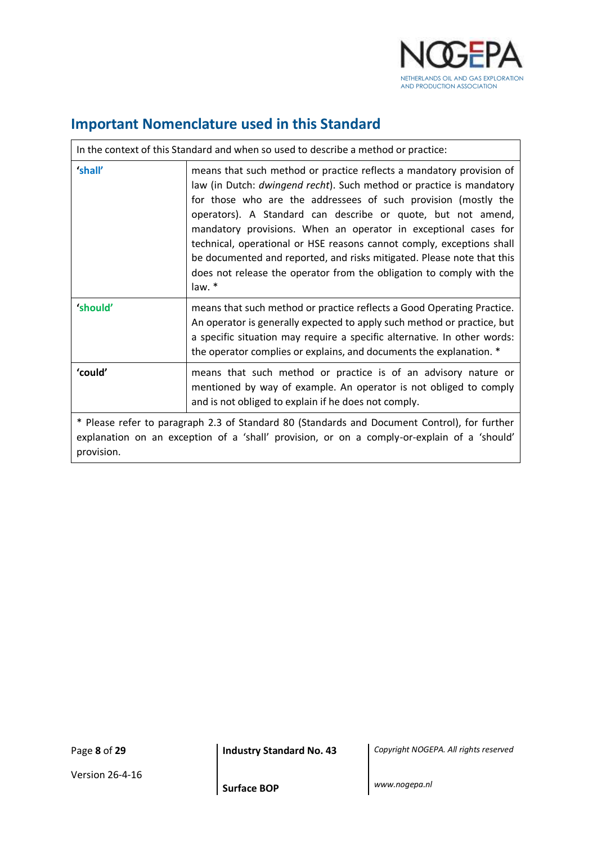

٦

## <span id="page-7-0"></span>**Important Nomenclature used in this Standard**

| In the context of this Standard and when so used to describe a method or practice:                                                                                                                        |                                                                                                                                                                                                                                                                                                                                                                                                                                                                                                                                                                                                |  |
|-----------------------------------------------------------------------------------------------------------------------------------------------------------------------------------------------------------|------------------------------------------------------------------------------------------------------------------------------------------------------------------------------------------------------------------------------------------------------------------------------------------------------------------------------------------------------------------------------------------------------------------------------------------------------------------------------------------------------------------------------------------------------------------------------------------------|--|
| 'shall'                                                                                                                                                                                                   | means that such method or practice reflects a mandatory provision of<br>law (in Dutch: <i>dwingend recht</i> ). Such method or practice is mandatory<br>for those who are the addressees of such provision (mostly the<br>operators). A Standard can describe or quote, but not amend,<br>mandatory provisions. When an operator in exceptional cases for<br>technical, operational or HSE reasons cannot comply, exceptions shall<br>be documented and reported, and risks mitigated. Please note that this<br>does not release the operator from the obligation to comply with the<br>law. * |  |
| 'should'                                                                                                                                                                                                  | means that such method or practice reflects a Good Operating Practice.<br>An operator is generally expected to apply such method or practice, but<br>a specific situation may require a specific alternative. In other words:<br>the operator complies or explains, and documents the explanation. *                                                                                                                                                                                                                                                                                           |  |
| 'could'                                                                                                                                                                                                   | means that such method or practice is of an advisory nature or<br>mentioned by way of example. An operator is not obliged to comply<br>and is not obliged to explain if he does not comply.                                                                                                                                                                                                                                                                                                                                                                                                    |  |
| * Please refer to paragraph 2.3 of Standard 80 (Standards and Document Control), for further<br>explanation on an exception of a 'shall' provision, or on a comply-or-explain of a 'should'<br>provision. |                                                                                                                                                                                                                                                                                                                                                                                                                                                                                                                                                                                                |  |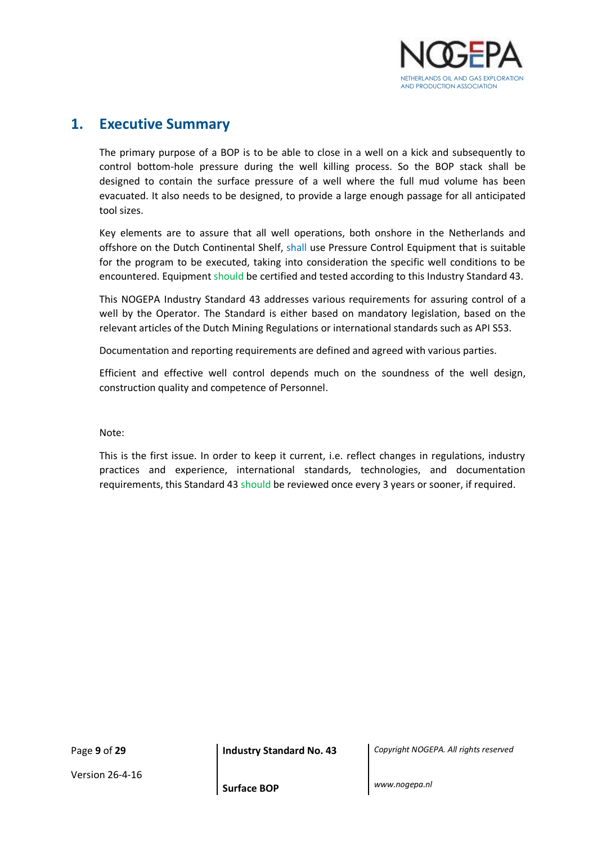

### <span id="page-8-0"></span>**1. Executive Summary**

The primary purpose of a BOP is to be able to close in a well on a kick and subsequently to control bottom-hole pressure during the well killing process. So the BOP stack shall be designed to contain the surface pressure of a well where the full mud volume has been evacuated. It also needs to be designed, to provide a large enough passage for all anticipated tool sizes.

Key elements are to assure that all well operations, both onshore in the Netherlands and offshore on the Dutch Continental Shelf, shall use Pressure Control Equipment that is suitable for the program to be executed, taking into consideration the specific well conditions to be encountered. Equipment should be certified and tested according to this Industry Standard 43.

This NOGEPA Industry Standard 43 addresses various requirements for assuring control of a well by the Operator. The Standard is either based on mandatory legislation, based on the relevant articles of the Dutch Mining Regulations or international standards such as API S53.

Documentation and reporting requirements are defined and agreed with various parties.

Efficient and effective well control depends much on the soundness of the well design, construction quality and competence of Personnel.

Note:

This is the first issue. In order to keep it current, i.e. reflect changes in regulations, industry practices and experience, international standards, technologies, and documentation requirements, this Standard 43 should be reviewed once every 3 years or sooner, if required.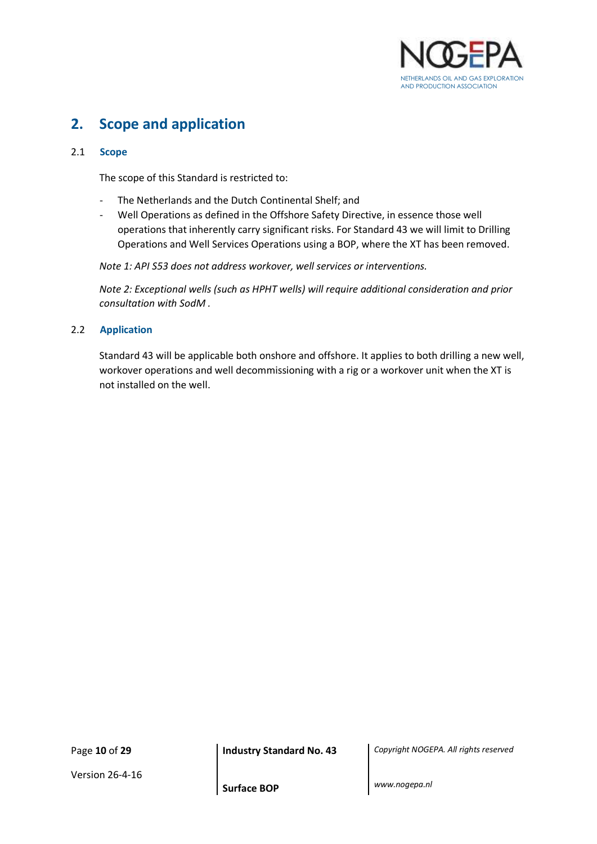

## <span id="page-9-0"></span>**2. Scope and application**

#### <span id="page-9-1"></span>2.1 **Scope**

The scope of this Standard is restricted to:

- The Netherlands and the Dutch Continental Shelf; and
- Well Operations as defined in the Offshore Safety Directive, in essence those well operations that inherently carry significant risks. For Standard 43 we will limit to Drilling Operations and Well Services Operations using a BOP, where the XT has been removed.

*Note 1: API S53 does not address workover, well services or interventions.*

*Note 2: Exceptional wells (such as HPHT wells) will require additional consideration and prior consultation with SodM .*

#### <span id="page-9-2"></span>2.2 **Application**

Standard 43 will be applicable both onshore and offshore. It applies to both drilling a new well, workover operations and well decommissioning with a rig or a workover unit when the XT is not installed on the well.

Page **10** of **29 Industry Standard No. 43** *Copyright NOGEPA. All rights reserved*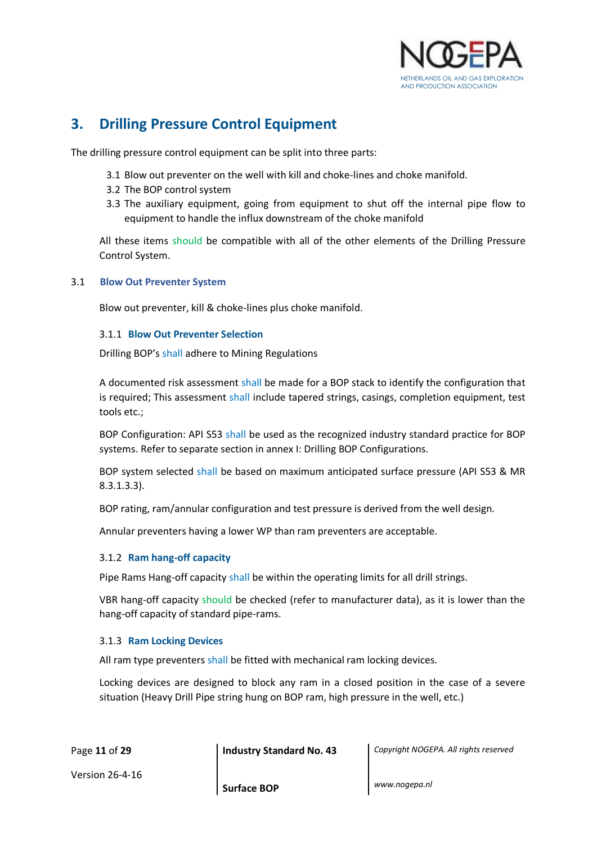

## <span id="page-10-0"></span>**3. Drilling Pressure Control Equipment**

The drilling pressure control equipment can be split into three parts:

- 3.1 Blow out preventer on the well with kill and choke-lines and choke manifold.
- 3.2 The BOP control system
- 3.3 The auxiliary equipment, going from equipment to shut off the internal pipe flow to equipment to handle the influx downstream of the choke manifold

All these items should be compatible with all of the other elements of the Drilling Pressure Control System.

#### <span id="page-10-1"></span>3.1 **Blow Out Preventer System**

Blow out preventer, kill & choke-lines plus choke manifold.

#### <span id="page-10-2"></span>3.1.1 **Blow Out Preventer Selection**

Drilling BOP's shall adhere to Mining Regulations

A documented risk assessment shall be made for a BOP stack to identify the configuration that is required; This assessment shall include tapered strings, casings, completion equipment, test tools etc.;

BOP Configuration: API S53 shall be used as the recognized industry standard practice for BOP systems. Refer to separate section in annex I: Drilling BOP Configurations.

BOP system selected shall be based on maximum anticipated surface pressure (API S53 & MR 8.3.1.3.3).

BOP rating, ram/annular configuration and test pressure is derived from the well design.

Annular preventers having a lower WP than ram preventers are acceptable.

#### <span id="page-10-3"></span>3.1.2 **Ram hang-off capacity**

Pipe Rams Hang-off capacity shall be within the operating limits for all drill strings.

VBR hang-off capacity should be checked (refer to manufacturer data), as it is lower than the hang-off capacity of standard pipe-rams.

#### <span id="page-10-4"></span>3.1.3 **Ram Locking Devices**

All ram type preventers shall be fitted with mechanical ram locking devices.

Locking devices are designed to block any ram in a closed position in the case of a severe situation (Heavy Drill Pipe string hung on BOP ram, high pressure in the well, etc.)

Page **11** of **29 Industry Standard No. 43** *Copyright NOGEPA. All rights reserved*

Version 26-4-16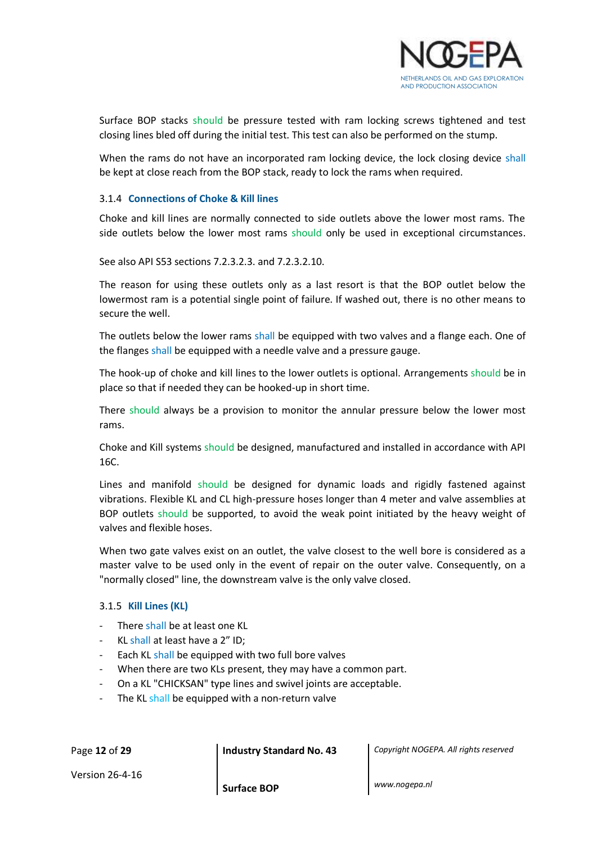

Surface BOP stacks should be pressure tested with ram locking screws tightened and test closing lines bled off during the initial test. This test can also be performed on the stump.

When the rams do not have an incorporated ram locking device, the lock closing device shall be kept at close reach from the BOP stack, ready to lock the rams when required.

#### <span id="page-11-0"></span>3.1.4 **Connections of Choke & Kill lines**

Choke and kill lines are normally connected to side outlets above the lower most rams. The side outlets below the lower most rams should only be used in exceptional circumstances.

See also API S53 sections 7.2.3.2.3. and 7.2.3.2.10.

The reason for using these outlets only as a last resort is that the BOP outlet below the lowermost ram is a potential single point of failure. If washed out, there is no other means to secure the well.

The outlets below the lower rams shall be equipped with two valves and a flange each. One of the flanges shall be equipped with a needle valve and a pressure gauge.

The hook-up of choke and kill lines to the lower outlets is optional. Arrangements should be in place so that if needed they can be hooked-up in short time.

There should always be a provision to monitor the annular pressure below the lower most rams.

Choke and Kill systems should be designed, manufactured and installed in accordance with API 16C.

Lines and manifold should be designed for dynamic loads and rigidly fastened against vibrations. Flexible KL and CL high-pressure hoses longer than 4 meter and valve assemblies at BOP outlets should be supported, to avoid the weak point initiated by the heavy weight of valves and flexible hoses.

When two gate valves exist on an outlet, the valve closest to the well bore is considered as a master valve to be used only in the event of repair on the outer valve. Consequently, on a "normally closed" line, the downstream valve is the only valve closed.

#### <span id="page-11-1"></span>3.1.5 **Kill Lines (KL)**

- There shall be at least one KL
- KL shall at least have a 2" ID;
- Each KL shall be equipped with two full bore valves
- When there are two KLs present, they may have a common part.
- On a KL "CHICKSAN" type lines and swivel joints are acceptable.
- The KL shall be equipped with a non-return valve

Page **12** of **29 Industry Standard No. 43** *Copyright NOGEPA. All rights reserved*

Version 26-4-16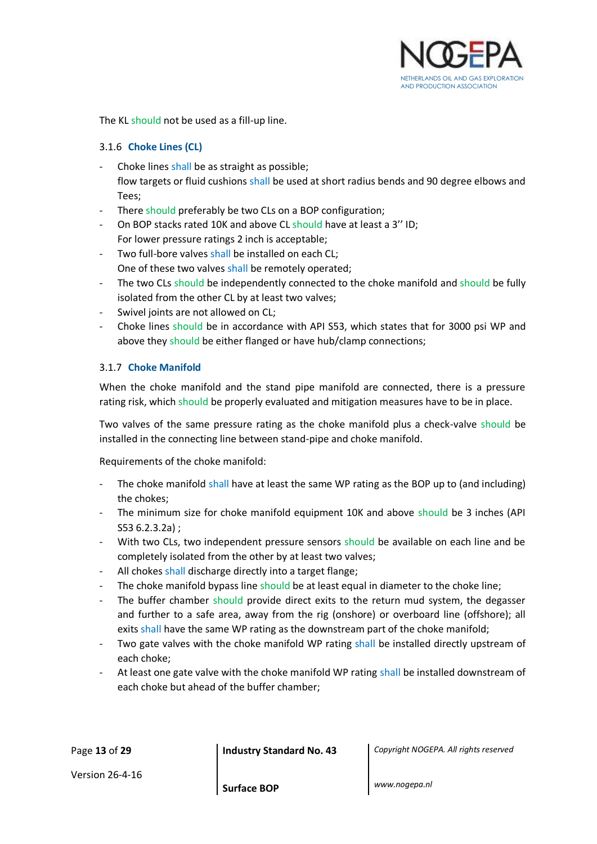

The KL should not be used as a fill-up line.

#### <span id="page-12-0"></span>3.1.6 **Choke Lines (CL)**

- Choke lines shall be as straight as possible; flow targets or fluid cushions shall be used at short radius bends and 90 degree elbows and Tees;
- There should preferably be two CLs on a BOP configuration;
- On BOP stacks rated 10K and above CL should have at least a 3" ID; For lower pressure ratings 2 inch is acceptable;
- Two full-bore valves shall be installed on each CL; One of these two valves shall be remotely operated;
- The two CLs should be independently connected to the choke manifold and should be fully isolated from the other CL by at least two valves;
- Swivel joints are not allowed on CL;
- Choke lines should be in accordance with API S53, which states that for 3000 psi WP and above they should be either flanged or have hub/clamp connections;

#### <span id="page-12-1"></span>3.1.7 **Choke Manifold**

When the choke manifold and the stand pipe manifold are connected, there is a pressure rating risk, which should be properly evaluated and mitigation measures have to be in place.

Two valves of the same pressure rating as the choke manifold plus a check-valve should be installed in the connecting line between stand-pipe and choke manifold.

Requirements of the choke manifold:

- The choke manifold shall have at least the same WP rating as the BOP up to (and including) the chokes;
- The minimum size for choke manifold equipment 10K and above should be 3 inches (API S53 6.2.3.2a) ;
- With two CLs, two independent pressure sensors should be available on each line and be completely isolated from the other by at least two valves;
- All chokes shall discharge directly into a target flange;
- The choke manifold bypass line should be at least equal in diameter to the choke line;
- The buffer chamber should provide direct exits to the return mud system, the degasser and further to a safe area, away from the rig (onshore) or overboard line (offshore); all exits shall have the same WP rating as the downstream part of the choke manifold;
- Two gate valves with the choke manifold WP rating shall be installed directly upstream of each choke;
- At least one gate valve with the choke manifold WP rating shall be installed downstream of each choke but ahead of the buffer chamber;

Page **13** of **29 Industry Standard No. 43** *Copyright NOGEPA. All rights reserved*

Version 26-4-16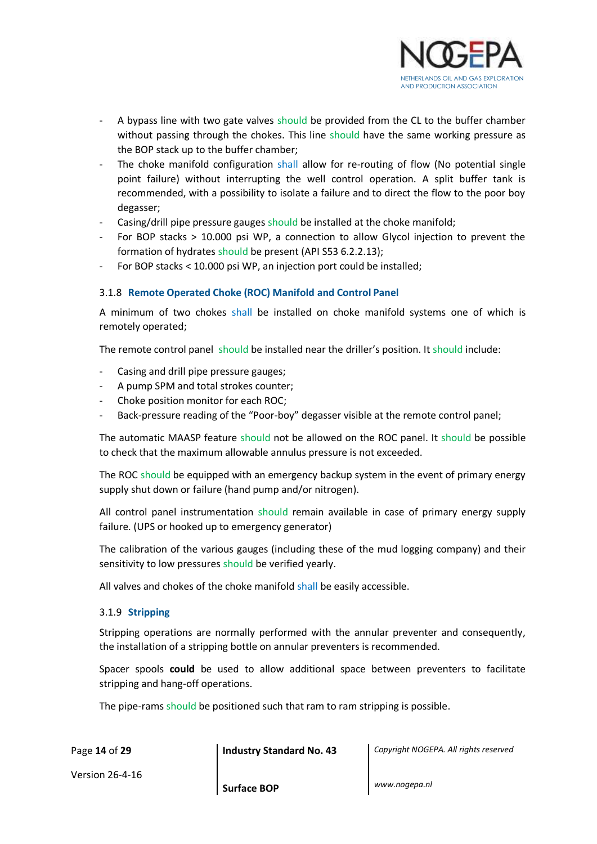

- A bypass line with two gate valves should be provided from the CL to the buffer chamber without passing through the chokes. This line should have the same working pressure as the BOP stack up to the buffer chamber;
- The choke manifold configuration shall allow for re-routing of flow (No potential single point failure) without interrupting the well control operation. A split buffer tank is recommended, with a possibility to isolate a failure and to direct the flow to the poor boy degasser;
- Casing/drill pipe pressure gauges should be installed at the choke manifold;
- For BOP stacks > 10.000 psi WP, a connection to allow Glycol injection to prevent the formation of hydrates should be present (API S53 6.2.2.13);
- For BOP stacks < 10.000 psi WP, an injection port could be installed;

#### <span id="page-13-0"></span>3.1.8 **Remote Operated Choke (ROC) Manifold and Control Panel**

A minimum of two chokes shall be installed on choke manifold systems one of which is remotely operated;

The remote control panel should be installed near the driller's position. It should include:

- Casing and drill pipe pressure gauges;
- A pump SPM and total strokes counter;
- Choke position monitor for each ROC;
- Back-pressure reading of the "Poor-boy" degasser visible at the remote control panel;

The automatic MAASP feature should not be allowed on the ROC panel. It should be possible to check that the maximum allowable annulus pressure is not exceeded.

The ROC should be equipped with an emergency backup system in the event of primary energy supply shut down or failure (hand pump and/or nitrogen).

All control panel instrumentation should remain available in case of primary energy supply failure. (UPS or hooked up to emergency generator)

The calibration of the various gauges (including these of the mud logging company) and their sensitivity to low pressures should be verified yearly.

All valves and chokes of the choke manifold shall be easily accessible.

#### <span id="page-13-1"></span>3.1.9 **Stripping**

Stripping operations are normally performed with the annular preventer and consequently, the installation of a stripping bottle on annular preventers is recommended.

Spacer spools **could** be used to allow additional space between preventers to facilitate stripping and hang-off operations.

The pipe-rams should be positioned such that ram to ram stripping is possible.

Page **14** of **29 Industry Standard No. 43** *Copyright NOGEPA. All rights reserved*

Version 26-4-16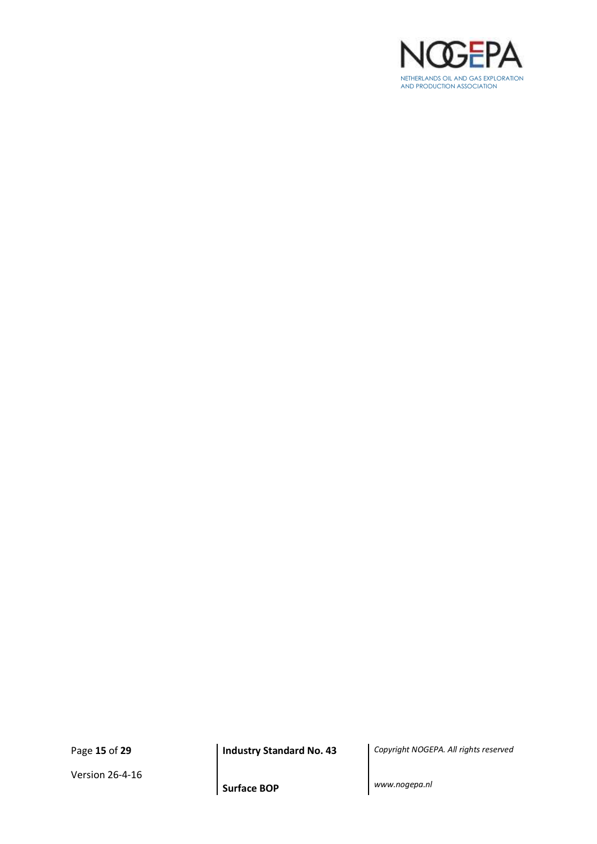

Version 26-4-16

Page **15** of **29 Industry Standard No. 43** *Copyright NOGEPA. All rights reserved*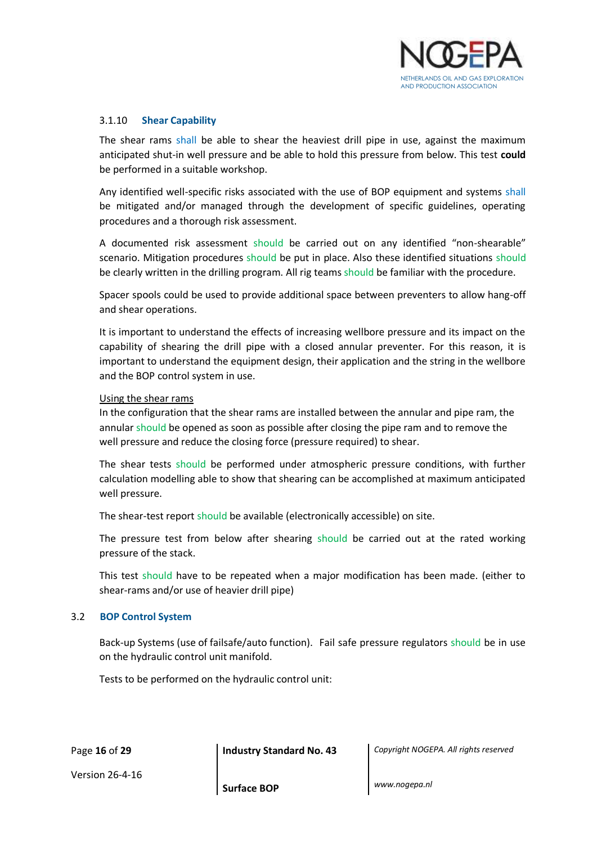

#### <span id="page-15-0"></span>3.1.10 **Shear Capability**

The shear rams shall be able to shear the heaviest drill pipe in use, against the maximum anticipated shut-in well pressure and be able to hold this pressure from below. This test **could** be performed in a suitable workshop.

Any identified well-specific risks associated with the use of BOP equipment and systems shall be mitigated and/or managed through the development of specific guidelines, operating procedures and a thorough risk assessment.

A documented risk assessment should be carried out on any identified "non-shearable" scenario. Mitigation procedures should be put in place. Also these identified situations should be clearly written in the drilling program. All rig teams should be familiar with the procedure.

Spacer spools could be used to provide additional space between preventers to allow hang-off and shear operations.

It is important to understand the effects of increasing wellbore pressure and its impact on the capability of shearing the drill pipe with a closed annular preventer. For this reason, it is important to understand the equipment design, their application and the string in the wellbore and the BOP control system in use.

#### Using the shear rams

In the configuration that the shear rams are installed between the annular and pipe ram, the annular should be opened as soon as possible after closing the pipe ram and to remove the well pressure and reduce the closing force (pressure required) to shear.

The shear tests should be performed under atmospheric pressure conditions, with further calculation modelling able to show that shearing can be accomplished at maximum anticipated well pressure.

The shear-test report should be available (electronically accessible) on site.

The pressure test from below after shearing should be carried out at the rated working pressure of the stack.

This test should have to be repeated when a major modification has been made. (either to shear-rams and/or use of heavier drill pipe)

#### <span id="page-15-1"></span>3.2 **BOP Control System**

Back-up Systems (use of failsafe/auto function). Fail safe pressure regulators should be in use on the hydraulic control unit manifold.

Tests to be performed on the hydraulic control unit:

Page **16** of **29 Industry Standard No. 43** *Copyright NOGEPA. All rights reserved*

Version 26-4-16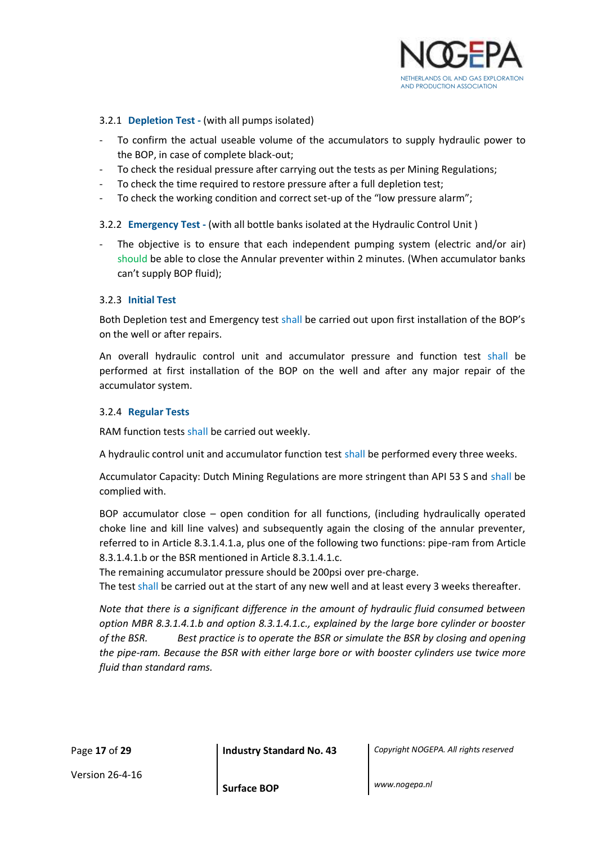

#### <span id="page-16-0"></span>3.2.1 **Depletion Test -** (with all pumps isolated)

- To confirm the actual useable volume of the accumulators to supply hydraulic power to the BOP, in case of complete black-out;
- To check the residual pressure after carrying out the tests as per Mining Regulations;
- To check the time required to restore pressure after a full depletion test;
- To check the working condition and correct set-up of the "low pressure alarm";

#### <span id="page-16-1"></span>3.2.2 **Emergency Test -** (with all bottle banks isolated at the Hydraulic Control Unit )

The objective is to ensure that each independent pumping system (electric and/or air) should be able to close the Annular preventer within 2 minutes. (When accumulator banks can't supply BOP fluid);

#### <span id="page-16-2"></span>3.2.3 **Initial Test**

Both Depletion test and Emergency test shall be carried out upon first installation of the BOP's on the well or after repairs.

An overall hydraulic control unit and accumulator pressure and function test shall be performed at first installation of the BOP on the well and after any major repair of the accumulator system.

#### <span id="page-16-3"></span>3.2.4 **Regular Tests**

RAM function tests shall be carried out weekly.

A hydraulic control unit and accumulator function test shall be performed every three weeks.

Accumulator Capacity: Dutch Mining Regulations are more stringent than API 53 S and shall be complied with.

BOP accumulator close – open condition for all functions, (including hydraulically operated choke line and kill line valves) and subsequently again the closing of the annular preventer, referred to in Article 8.3.1.4.1.a, plus one of the following two functions: pipe-ram from Article 8.3.1.4.1.b or the BSR mentioned in Article 8.3.1.4.1.c.

The remaining accumulator pressure should be 200psi over pre-charge.

The test shall be carried out at the start of any new well and at least every 3 weeks thereafter.

*Note that there is a significant difference in the amount of hydraulic fluid consumed between option MBR 8.3.1.4.1.b and option 8.3.1.4.1.c., explained by the large bore cylinder or booster of the BSR. Best practice is to operate the BSR or simulate the BSR by closing and opening the pipe-ram. Because the BSR with either large bore or with booster cylinders use twice more fluid than standard rams.*

Page **17** of **29 Industry Standard No. 43** *Copyright NOGEPA. All rights reserved*

Version 26-4-16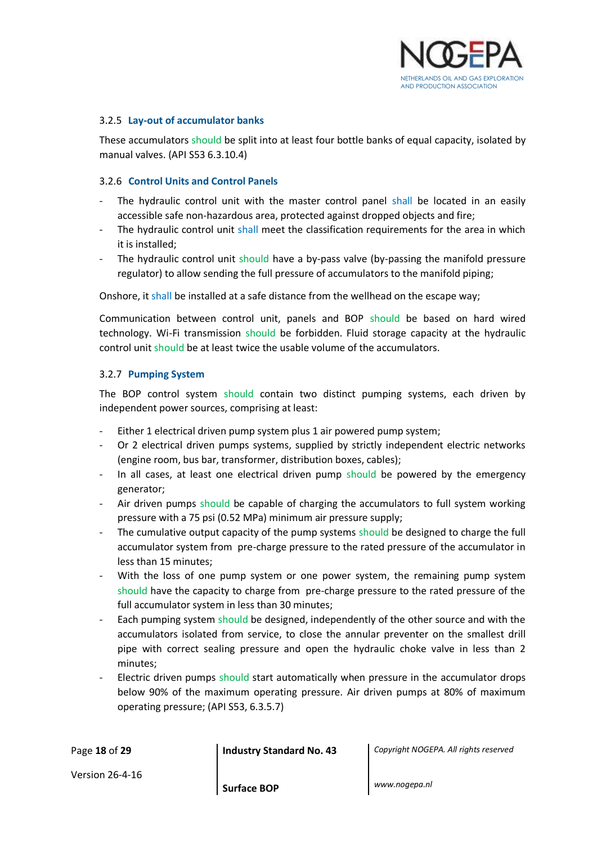

#### <span id="page-17-0"></span>3.2.5 **Lay-out of accumulator banks**

These accumulators should be split into at least four bottle banks of equal capacity, isolated by manual valves. (API S53 6.3.10.4)

#### <span id="page-17-1"></span>3.2.6 **Control Units and Control Panels**

- The hydraulic control unit with the master control panel shall be located in an easily accessible safe non-hazardous area, protected against dropped objects and fire;
- The hydraulic control unit shall meet the classification requirements for the area in which it is installed;
- The hydraulic control unit should have a by-pass valve (by-passing the manifold pressure regulator) to allow sending the full pressure of accumulators to the manifold piping;

Onshore, it shall be installed at a safe distance from the wellhead on the escape way;

Communication between control unit, panels and BOP should be based on hard wired technology. Wi-Fi transmission should be forbidden. Fluid storage capacity at the hydraulic control unit should be at least twice the usable volume of the accumulators.

#### <span id="page-17-2"></span>3.2.7 **Pumping System**

The BOP control system should contain two distinct pumping systems, each driven by independent power sources, comprising at least:

- Either 1 electrical driven pump system plus 1 air powered pump system;
- Or 2 electrical driven pumps systems, supplied by strictly independent electric networks (engine room, bus bar, transformer, distribution boxes, cables);
- In all cases, at least one electrical driven pump should be powered by the emergency generator;
- Air driven pumps should be capable of charging the accumulators to full system working pressure with a 75 psi (0.52 MPa) minimum air pressure supply;
- The cumulative output capacity of the pump systems should be designed to charge the full accumulator system from pre-charge pressure to the rated pressure of the accumulator in less than 15 minutes;
- With the loss of one pump system or one power system, the remaining pump system should have the capacity to charge from pre-charge pressure to the rated pressure of the full accumulator system in less than 30 minutes;
- Each pumping system should be designed, independently of the other source and with the accumulators isolated from service, to close the annular preventer on the smallest drill pipe with correct sealing pressure and open the hydraulic choke valve in less than 2 minutes;
- Electric driven pumps should start automatically when pressure in the accumulator drops below 90% of the maximum operating pressure. Air driven pumps at 80% of maximum operating pressure; (API S53, 6.3.5.7)

Page **18** of **29 Industry Standard No. 43** *Copyright NOGEPA. All rights reserved*

Version 26-4-16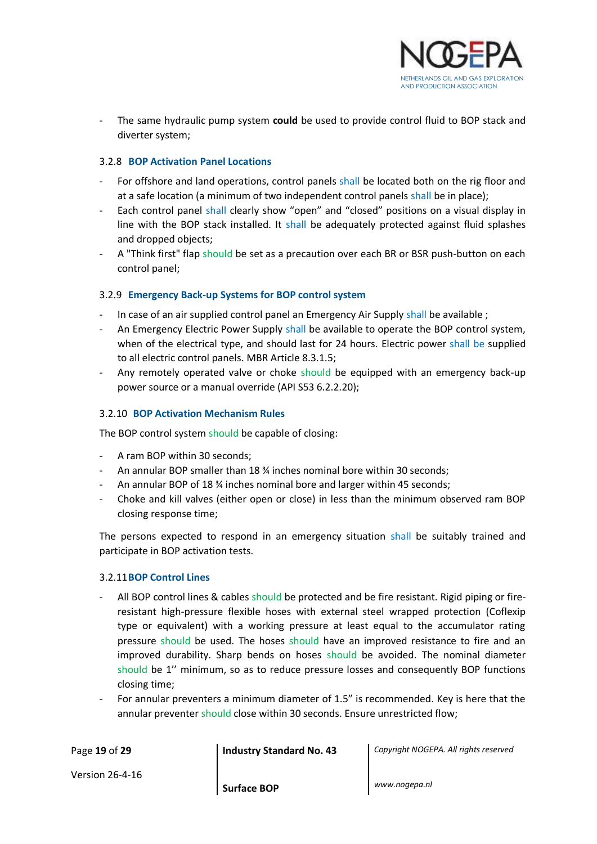

- The same hydraulic pump system **could** be used to provide control fluid to BOP stack and diverter system;

#### <span id="page-18-0"></span>3.2.8 **BOP Activation Panel Locations**

- For offshore and land operations, control panels shall be located both on the rig floor and at a safe location (a minimum of two independent control panels shall be in place);
- Each control panel shall clearly show "open" and "closed" positions on a visual display in line with the BOP stack installed. It shall be adequately protected against fluid splashes and dropped objects;
- A "Think first" flap should be set as a precaution over each BR or BSR push-button on each control panel;

#### <span id="page-18-1"></span>3.2.9 **Emergency Back-up Systems for BOP control system**

- In case of an air supplied control panel an Emergency Air Supply shall be available ;
- An Emergency Electric Power Supply shall be available to operate the BOP control system, when of the electrical type, and should last for 24 hours. Electric power shall be supplied to all electric control panels. MBR Article 8.3.1.5;
- Any remotely operated valve or choke should be equipped with an emergency back-up power source or a manual override (API S53 6.2.2.20);

#### <span id="page-18-2"></span>3.2.10 **BOP Activation Mechanism Rules**

The BOP control system should be capable of closing:

- A ram BOP within 30 seconds:
- An annular BOP smaller than 18 % inches nominal bore within 30 seconds;
- An annular BOP of 18 % inches nominal bore and larger within 45 seconds;
- Choke and kill valves (either open or close) in less than the minimum observed ram BOP closing response time;

The persons expected to respond in an emergency situation shall be suitably trained and participate in BOP activation tests.

#### <span id="page-18-3"></span>3.2.11**BOP Control Lines**

- All BOP control lines & cables should be protected and be fire resistant. Rigid piping or fireresistant high-pressure flexible hoses with external steel wrapped protection (Coflexip type or equivalent) with a working pressure at least equal to the accumulator rating pressure should be used. The hoses should have an improved resistance to fire and an improved durability. Sharp bends on hoses should be avoided. The nominal diameter should be 1'' minimum, so as to reduce pressure losses and consequently BOP functions closing time;
- For annular preventers a minimum diameter of 1.5" is recommended. Key is here that the annular preventer should close within 30 seconds. Ensure unrestricted flow;

Page **19** of **29 Industry Standard No. 43** *Copyright NOGEPA. All rights reserved*

Version 26-4-16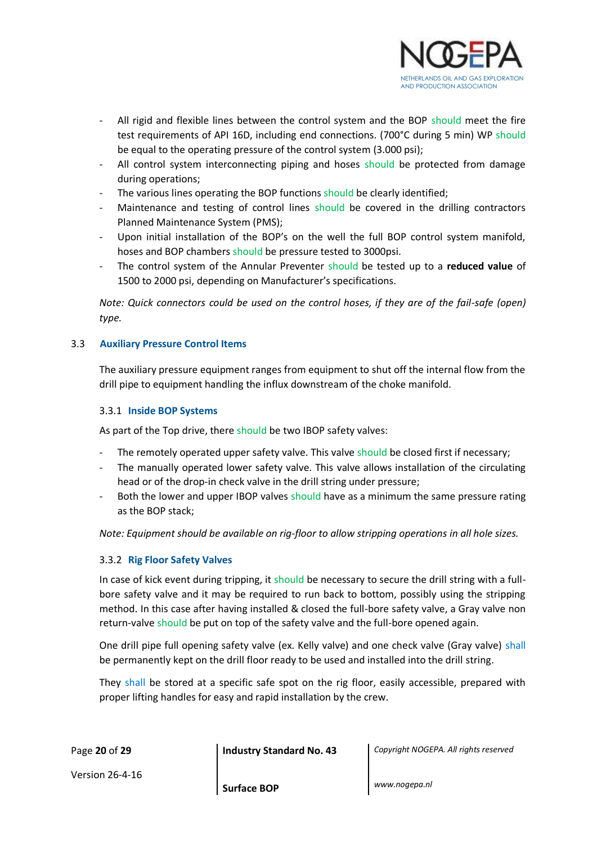

- All rigid and flexible lines between the control system and the BOP should meet the fire test requirements of API 16D, including end connections. (700°C during 5 min) WP should be equal to the operating pressure of the control system (3.000 psi);
- All control system interconnecting piping and hoses should be protected from damage during operations;
- The various lines operating the BOP functions should be clearly identified;
- Maintenance and testing of control lines should be covered in the drilling contractors Planned Maintenance System (PMS);
- Upon initial installation of the BOP's on the well the full BOP control system manifold, hoses and BOP chambers should be pressure tested to 3000psi.
- The control system of the Annular Preventer should be tested up to a **reduced value** of 1500 to 2000 psi, depending on Manufacturer's specifications.

*Note: Quick connectors could be used on the control hoses, if they are of the fail-safe (open) type.*

#### <span id="page-19-0"></span>3.3 **Auxiliary Pressure Control Items**

The auxiliary pressure equipment ranges from equipment to shut off the internal flow from the drill pipe to equipment handling the influx downstream of the choke manifold.

#### <span id="page-19-1"></span>3.3.1 **Inside BOP Systems**

As part of the Top drive, there should be two IBOP safety valves:

- The remotely operated upper safety valve. This valve should be closed first if necessary;
- The manually operated lower safety valve. This valve allows installation of the circulating head or of the drop-in check valve in the drill string under pressure;
- Both the lower and upper IBOP valves should have as a minimum the same pressure rating as the BOP stack;

*Note: Equipment should be available on rig-floor to allow stripping operations in all hole sizes.*

#### <span id="page-19-2"></span>3.3.2 **Rig Floor Safety Valves**

In case of kick event during tripping, it should be necessary to secure the drill string with a fullbore safety valve and it may be required to run back to bottom, possibly using the stripping method. In this case after having installed & closed the full-bore safety valve, a Gray valve non return-valve should be put on top of the safety valve and the full-bore opened again.

One drill pipe full opening safety valve (ex. Kelly valve) and one check valve (Gray valve) shall be permanently kept on the drill floor ready to be used and installed into the drill string.

They shall be stored at a specific safe spot on the rig floor, easily accessible, prepared with proper lifting handles for easy and rapid installation by the crew.

Page **20** of **29 Industry Standard No. 43** *Copyright NOGEPA. All rights reserved*

Version 26-4-16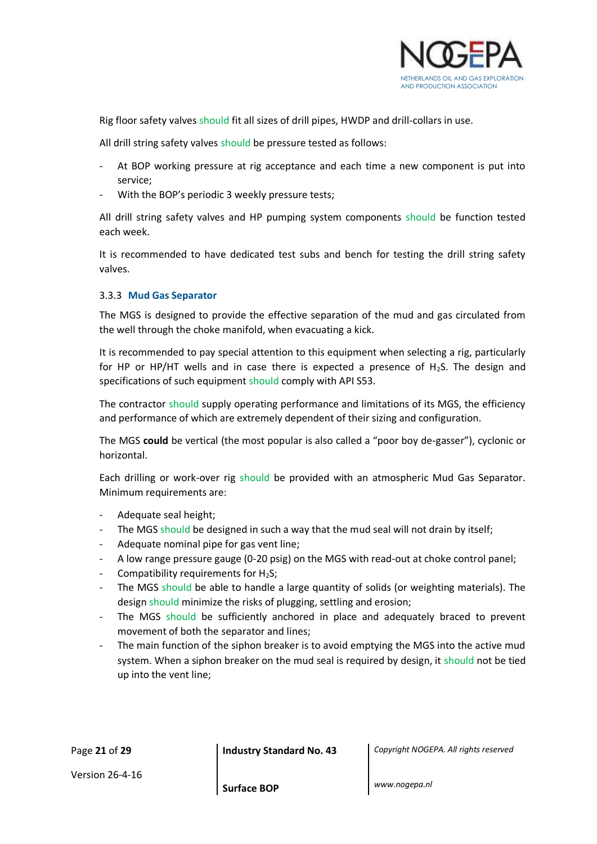

Rig floor safety valves should fit all sizes of drill pipes, HWDP and drill-collars in use.

All drill string safety valves should be pressure tested as follows:

- At BOP working pressure at rig acceptance and each time a new component is put into service;
- With the BOP's periodic 3 weekly pressure tests;

All drill string safety valves and HP pumping system components should be function tested each week.

It is recommended to have dedicated test subs and bench for testing the drill string safety valves.

#### <span id="page-20-0"></span>3.3.3 **Mud Gas Separator**

The MGS is designed to provide the effective separation of the mud and gas circulated from the well through the choke manifold, when evacuating a kick.

It is recommended to pay special attention to this equipment when selecting a rig, particularly for HP or HP/HT wells and in case there is expected a presence of  $H_2S$ . The design and specifications of such equipment should comply with API S53.

The contractor should supply operating performance and limitations of its MGS, the efficiency and performance of which are extremely dependent of their sizing and configuration.

The MGS **could** be vertical (the most popular is also called a "poor boy de-gasser"), cyclonic or horizontal.

Each drilling or work-over rig should be provided with an atmospheric Mud Gas Separator. Minimum requirements are:

- Adequate seal height;
- The MGS should be designed in such a way that the mud seal will not drain by itself;
- Adequate nominal pipe for gas vent line;
- A low range pressure gauge (0-20 psig) on the MGS with read-out at choke control panel;
- Compatibility requirements for  $H_2S$ ;
- The MGS should be able to handle a large quantity of solids (or weighting materials). The design should minimize the risks of plugging, settling and erosion;
- The MGS should be sufficiently anchored in place and adequately braced to prevent movement of both the separator and lines;
- The main function of the siphon breaker is to avoid emptying the MGS into the active mud system. When a siphon breaker on the mud seal is required by design, it should not be tied up into the vent line;

Page **21** of **29 Industry Standard No. 43** *Copyright NOGEPA. All rights reserved*

Version 26-4-16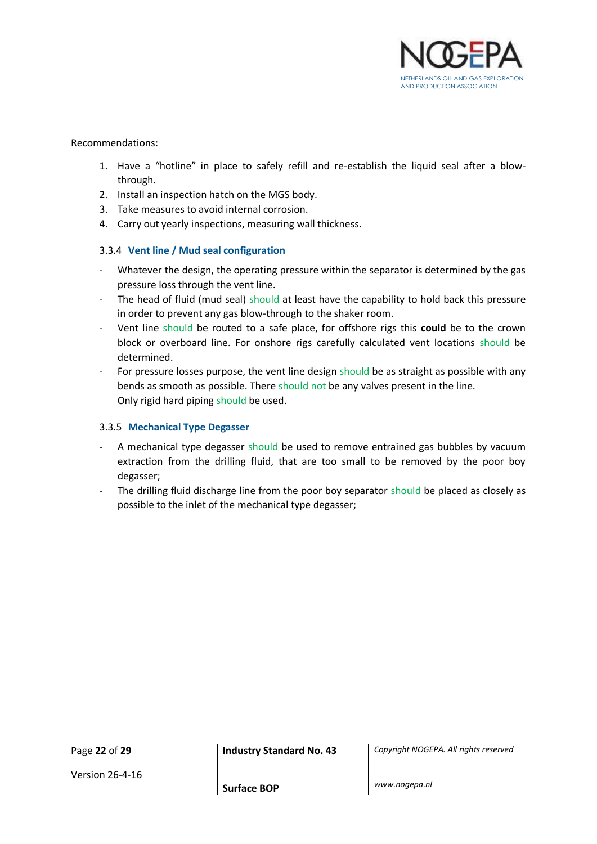

Recommendations:

- 1. Have a "hotline" in place to safely refill and re-establish the liquid seal after a blowthrough.
- 2. Install an inspection hatch on the MGS body.
- 3. Take measures to avoid internal corrosion.
- 4. Carry out yearly inspections, measuring wall thickness.

#### <span id="page-21-0"></span>3.3.4 **Vent line / Mud seal configuration**

- Whatever the design, the operating pressure within the separator is determined by the gas pressure loss through the vent line.
- The head of fluid (mud seal) should at least have the capability to hold back this pressure in order to prevent any gas blow-through to the shaker room.
- Vent line should be routed to a safe place, for offshore rigs this **could** be to the crown block or overboard line. For onshore rigs carefully calculated vent locations should be determined.
- For pressure losses purpose, the vent line design should be as straight as possible with any bends as smooth as possible. There should not be any valves present in the line. Only rigid hard piping should be used.

#### <span id="page-21-1"></span>3.3.5 **Mechanical Type Degasser**

- A mechanical type degasser should be used to remove entrained gas bubbles by vacuum extraction from the drilling fluid, that are too small to be removed by the poor boy degasser;
- The drilling fluid discharge line from the poor boy separator should be placed as closely as possible to the inlet of the mechanical type degasser;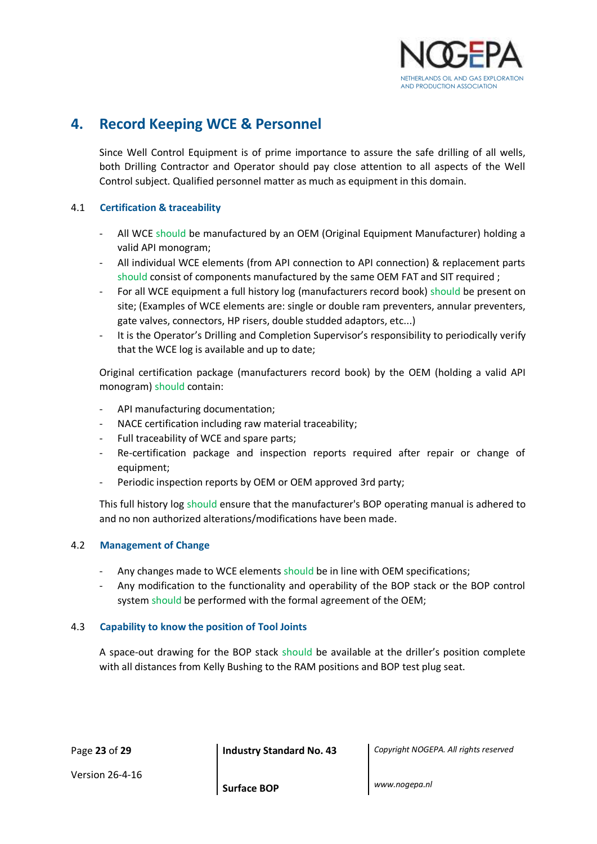

## <span id="page-22-0"></span>**4. Record Keeping WCE & Personnel**

Since Well Control Equipment is of prime importance to assure the safe drilling of all wells, both Drilling Contractor and Operator should pay close attention to all aspects of the Well Control subject. Qualified personnel matter as much as equipment in this domain.

#### <span id="page-22-1"></span>4.1 **Certification & traceability**

- All WCE should be manufactured by an OEM (Original Equipment Manufacturer) holding a valid API monogram;
- All individual WCE elements (from API connection to API connection) & replacement parts should consist of components manufactured by the same OEM FAT and SIT required ;
- For all WCE equipment a full history log (manufacturers record book) should be present on site; (Examples of WCE elements are: single or double ram preventers, annular preventers, gate valves, connectors, HP risers, double studded adaptors, etc...)
- It is the Operator's Drilling and Completion Supervisor's responsibility to periodically verify that the WCE log is available and up to date;

Original certification package (manufacturers record book) by the OEM (holding a valid API monogram) should contain:

- API manufacturing documentation;
- NACE certification including raw material traceability;
- Full traceability of WCE and spare parts;
- Re-certification package and inspection reports required after repair or change of equipment;
- Periodic inspection reports by OEM or OEM approved 3rd party;

This full history log should ensure that the manufacturer's BOP operating manual is adhered to and no non authorized alterations/modifications have been made.

#### <span id="page-22-2"></span>4.2 **Management of Change**

- Any changes made to WCE elements should be in line with OEM specifications;
- Any modification to the functionality and operability of the BOP stack or the BOP control system should be performed with the formal agreement of the OEM;

#### <span id="page-22-3"></span>4.3 **Capability to know the position of Tool Joints**

A space-out drawing for the BOP stack should be available at the driller's position complete with all distances from Kelly Bushing to the RAM positions and BOP test plug seat.

Page **23** of **29 Industry Standard No. 43** *Copyright NOGEPA. All rights reserved*

Version 26-4-16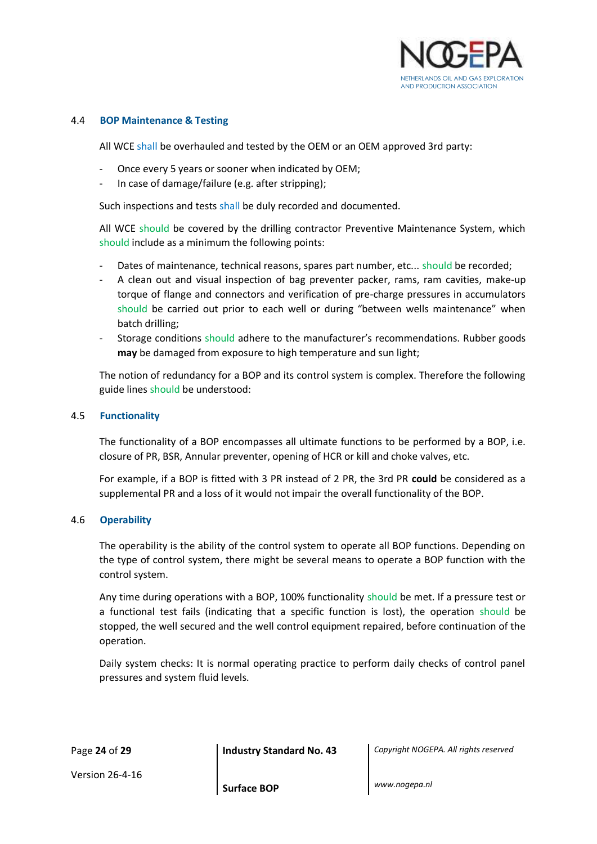

#### <span id="page-23-0"></span>4.4 **BOP Maintenance & Testing**

All WCE shall be overhauled and tested by the OEM or an OEM approved 3rd party:

- Once every 5 years or sooner when indicated by OEM;
- In case of damage/failure (e.g. after stripping);

Such inspections and tests shall be duly recorded and documented.

All WCE should be covered by the drilling contractor Preventive Maintenance System, which should include as a minimum the following points:

- Dates of maintenance, technical reasons, spares part number, etc... should be recorded;
- A clean out and visual inspection of bag preventer packer, rams, ram cavities, make-up torque of flange and connectors and verification of pre-charge pressures in accumulators should be carried out prior to each well or during "between wells maintenance" when batch drilling;
- Storage conditions should adhere to the manufacturer's recommendations. Rubber goods **may** be damaged from exposure to high temperature and sun light;

The notion of redundancy for a BOP and its control system is complex. Therefore the following guide lines should be understood:

#### <span id="page-23-1"></span>4.5 **Functionality**

The functionality of a BOP encompasses all ultimate functions to be performed by a BOP, i.e. closure of PR, BSR, Annular preventer, opening of HCR or kill and choke valves, etc.

For example, if a BOP is fitted with 3 PR instead of 2 PR, the 3rd PR **could** be considered as a supplemental PR and a loss of it would not impair the overall functionality of the BOP.

#### <span id="page-23-2"></span>4.6 **Operability**

The operability is the ability of the control system to operate all BOP functions. Depending on the type of control system, there might be several means to operate a BOP function with the control system.

Any time during operations with a BOP, 100% functionality should be met. If a pressure test or a functional test fails (indicating that a specific function is lost), the operation should be stopped, the well secured and the well control equipment repaired, before continuation of the operation.

Daily system checks: It is normal operating practice to perform daily checks of control panel pressures and system fluid levels.

Page **24** of **29 Industry Standard No. 43** *Copyright NOGEPA. All rights reserved*

Version 26-4-16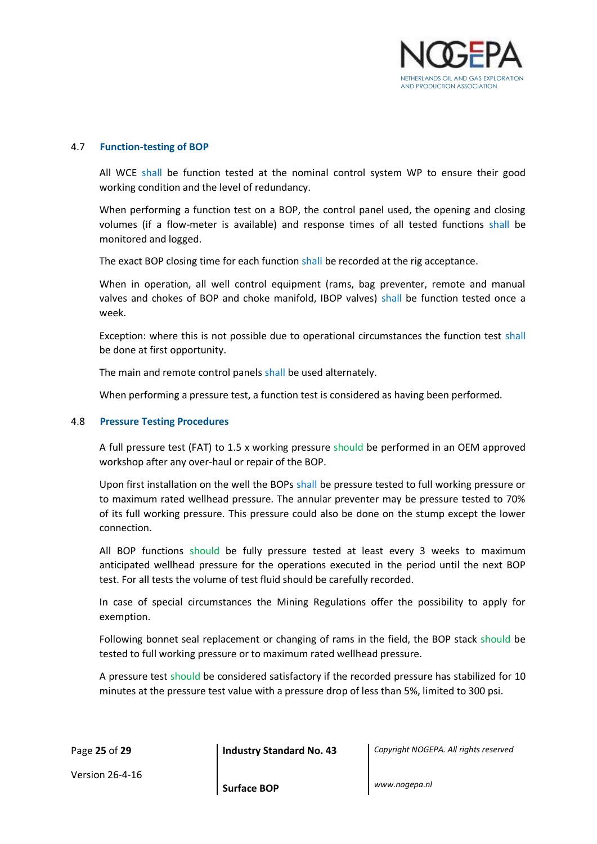

#### <span id="page-24-0"></span>4.7 **Function-testing of BOP**

All WCE shall be function tested at the nominal control system WP to ensure their good working condition and the level of redundancy.

When performing a function test on a BOP, the control panel used, the opening and closing volumes (if a flow-meter is available) and response times of all tested functions shall be monitored and logged.

The exact BOP closing time for each function shall be recorded at the rig acceptance.

When in operation, all well control equipment (rams, bag preventer, remote and manual valves and chokes of BOP and choke manifold, IBOP valves) shall be function tested once a week.

Exception: where this is not possible due to operational circumstances the function test shall be done at first opportunity.

The main and remote control panels shall be used alternately.

When performing a pressure test, a function test is considered as having been performed.

#### <span id="page-24-1"></span>4.8 **Pressure Testing Procedures**

A full pressure test (FAT) to 1.5 x working pressure should be performed in an OEM approved workshop after any over-haul or repair of the BOP.

Upon first installation on the well the BOPs shall be pressure tested to full working pressure or to maximum rated wellhead pressure. The annular preventer may be pressure tested to 70% of its full working pressure. This pressure could also be done on the stump except the lower connection.

All BOP functions should be fully pressure tested at least every 3 weeks to maximum anticipated wellhead pressure for the operations executed in the period until the next BOP test. For all tests the volume of test fluid should be carefully recorded.

In case of special circumstances the Mining Regulations offer the possibility to apply for exemption.

Following bonnet seal replacement or changing of rams in the field, the BOP stack should be tested to full working pressure or to maximum rated wellhead pressure.

A pressure test should be considered satisfactory if the recorded pressure has stabilized for 10 minutes at the pressure test value with a pressure drop of less than 5%, limited to 300 psi.

<span id="page-24-2"></span>Page **25** of **29 Industry Standard No. 43** *Copyright NOGEPA. All rights reserved*

Version 26-4-16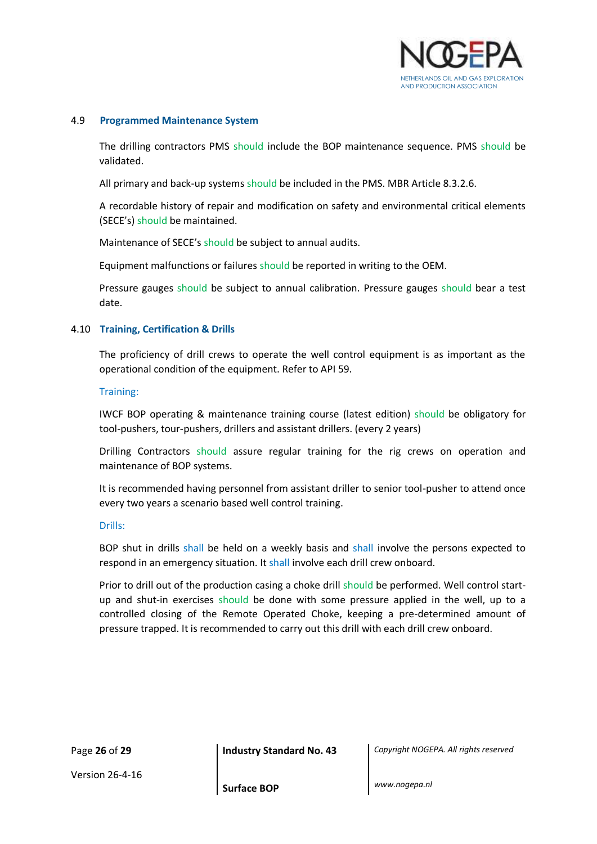

#### 4.9 **Programmed Maintenance System**

The drilling contractors PMS should include the BOP maintenance sequence. PMS should be validated.

All primary and back-up systems should be included in the PMS. MBR Article 8.3.2.6.

A recordable history of repair and modification on safety and environmental critical elements (SECE's) should be maintained.

Maintenance of SECE's should be subject to annual audits.

Equipment malfunctions or failures should be reported in writing to the OEM.

Pressure gauges should be subject to annual calibration. Pressure gauges should bear a test date.

#### <span id="page-25-0"></span>4.10 **Training, Certification & Drills**

The proficiency of drill crews to operate the well control equipment is as important as the operational condition of the equipment. Refer to API 59.

#### Training:

IWCF BOP operating & maintenance training course (latest edition) should be obligatory for tool-pushers, tour-pushers, drillers and assistant drillers. (every 2 years)

Drilling Contractors should assure regular training for the rig crews on operation and maintenance of BOP systems.

It is recommended having personnel from assistant driller to senior tool-pusher to attend once every two years a scenario based well control training.

#### Drills:

BOP shut in drills shall be held on a weekly basis and shall involve the persons expected to respond in an emergency situation. It shall involve each drill crew onboard.

Prior to drill out of the production casing a choke drill should be performed. Well control startup and shut-in exercises should be done with some pressure applied in the well, up to a controlled closing of the Remote Operated Choke, keeping a pre-determined amount of pressure trapped. It is recommended to carry out this drill with each drill crew onboard.

Version 26-4-16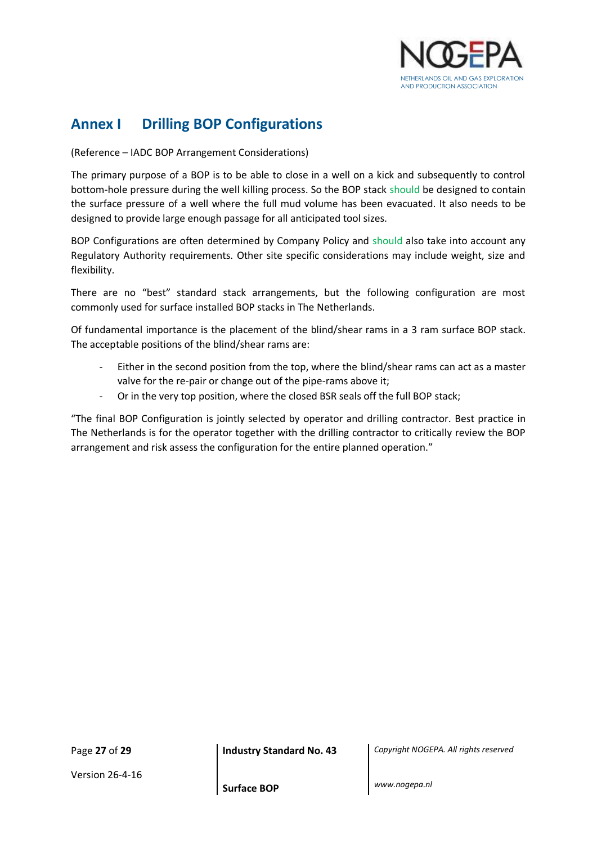

## <span id="page-26-0"></span>**Annex I Drilling BOP Configurations**

(Reference – IADC BOP Arrangement Considerations)

The primary purpose of a BOP is to be able to close in a well on a kick and subsequently to control bottom-hole pressure during the well killing process. So the BOP stack should be designed to contain the surface pressure of a well where the full mud volume has been evacuated. It also needs to be designed to provide large enough passage for all anticipated tool sizes.

BOP Configurations are often determined by Company Policy and should also take into account any Regulatory Authority requirements. Other site specific considerations may include weight, size and flexibility.

There are no "best" standard stack arrangements, but the following configuration are most commonly used for surface installed BOP stacks in The Netherlands.

Of fundamental importance is the placement of the blind/shear rams in a 3 ram surface BOP stack. The acceptable positions of the blind/shear rams are:

- Either in the second position from the top, where the blind/shear rams can act as a master valve for the re-pair or change out of the pipe-rams above it;
- Or in the very top position, where the closed BSR seals off the full BOP stack;

"The final BOP Configuration is jointly selected by operator and drilling contractor. Best practice in The Netherlands is for the operator together with the drilling contractor to critically review the BOP arrangement and risk assess the configuration for the entire planned operation."

Page **27** of **29 Industry Standard No. 43** *Copyright NOGEPA. All rights reserved*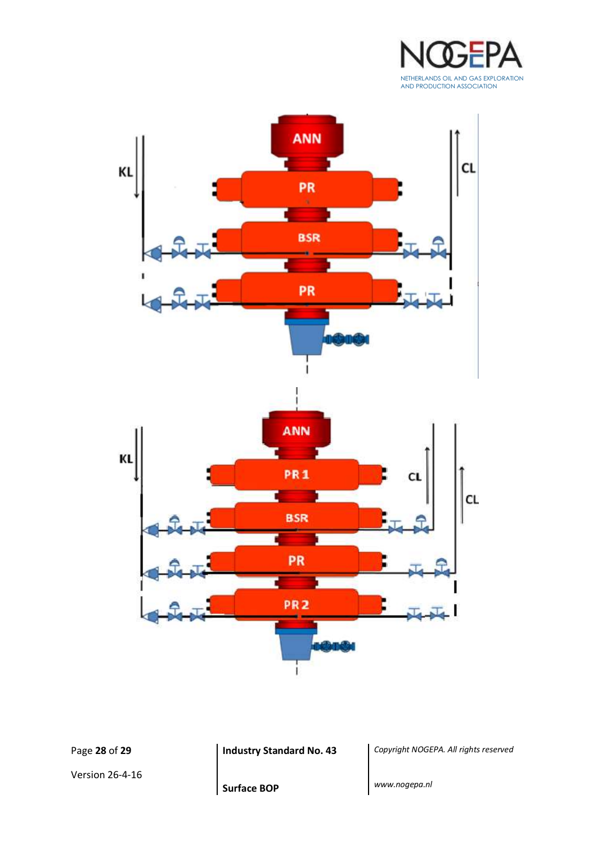



Page **28** of **29 Industry Standard No. 43** *Copyright NOGEPA. All rights reserved*

Version 26-4-16